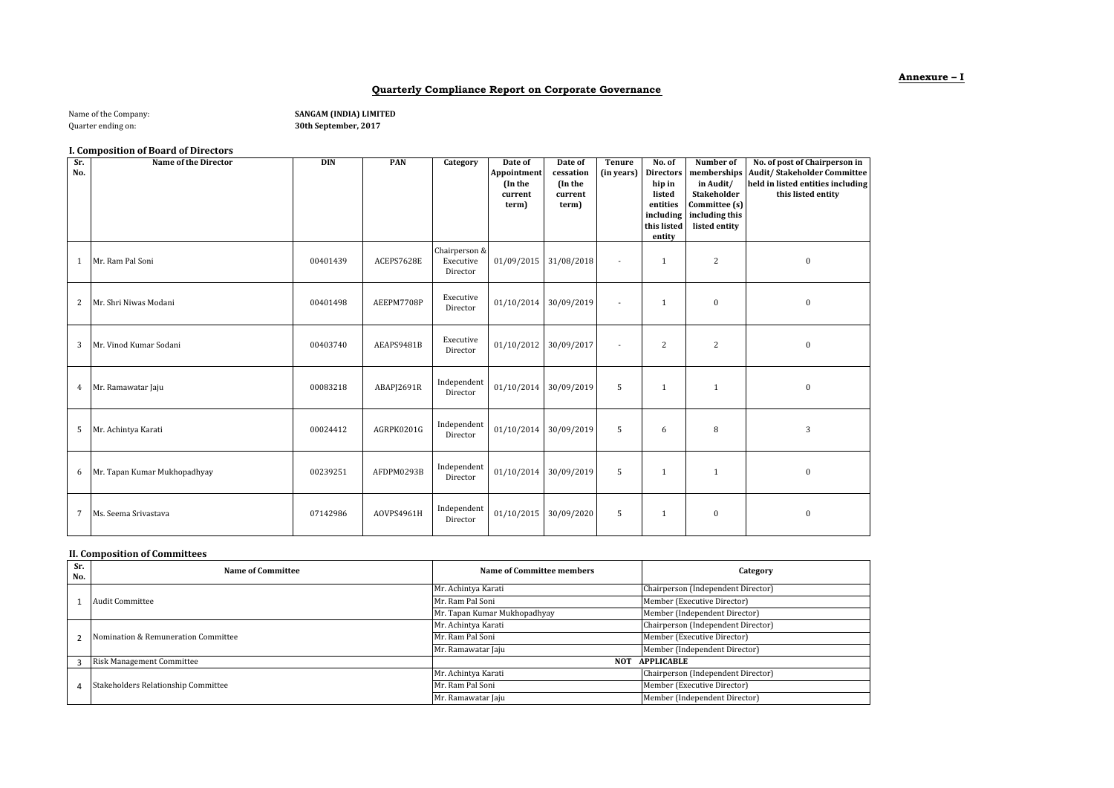### **Quarterly Compliance Report on Corporate Governance**

| Name of the Company: |  |
|----------------------|--|
| Quarter ording on    |  |

SANGAM (INDIA) LIMITED

Quarter ending on: **30th September, 2017**

## **I. Composition of Board of Directors**

| Sr.<br>No.      | Name of the Director         | <b>DIN</b> | PAN        | Category                               | Date of<br>Appointment<br>(In the<br>current<br>term) | Date of<br>cessation<br>(In the<br>current<br>term) | <b>Tenure</b><br>(in years) | No. of<br><b>Directors</b><br>hip in<br>listed<br>entities<br>including<br>this listed<br>entity | Number of<br>memberships<br>in Audit/<br><b>Stakeholder</b><br>Committee (s)<br>including this<br>listed entity | No. of post of Chairperson in<br><b>Audit/Stakeholder Committee</b><br>held in listed entities including<br>this listed entity |
|-----------------|------------------------------|------------|------------|----------------------------------------|-------------------------------------------------------|-----------------------------------------------------|-----------------------------|--------------------------------------------------------------------------------------------------|-----------------------------------------------------------------------------------------------------------------|--------------------------------------------------------------------------------------------------------------------------------|
| 1               | Mr. Ram Pal Soni             | 00401439   | ACEPS7628E | Chairperson &<br>Executive<br>Director | 01/09/2015 31/08/2018                                 |                                                     | $\overline{\phantom{a}}$    | $\overline{1}$                                                                                   | 2                                                                                                               | $\mathbf{0}$                                                                                                                   |
| 2               | Mr. Shri Niwas Modani        | 00401498   | AEEPM7708P | Executive<br>Director                  | 01/10/2014 30/09/2019                                 |                                                     | $\blacksquare$              | 1                                                                                                | $\bf{0}$                                                                                                        | $\mathbf{0}$                                                                                                                   |
| 3               | Mr. Vinod Kumar Sodani       | 00403740   | AEAPS9481B | Executive<br>Director                  | 01/10/2012 30/09/2017                                 |                                                     | $\overline{\phantom{a}}$    | 2                                                                                                | $\overline{c}$                                                                                                  | $\mathbf{0}$                                                                                                                   |
| $\overline{4}$  | Mr. Ramawatar Jaju           | 00083218   | ABAPJ2691R | Independent<br>Director                | 01/10/2014 30/09/2019                                 |                                                     | 5                           | 1                                                                                                | 1                                                                                                               | $\mathbf{0}$                                                                                                                   |
| 5               | Mr. Achintya Karati          | 00024412   | AGRPK0201G | Independent<br>Director                | 01/10/2014 30/09/2019                                 |                                                     | 5                           | 6                                                                                                | 8                                                                                                               | 3                                                                                                                              |
| 6               | Mr. Tapan Kumar Mukhopadhyay | 00239251   | AFDPM0293B | Independent<br>Director                | 01/10/2014 30/09/2019                                 |                                                     | 5                           | $\mathbf{1}$                                                                                     | $\mathbf{1}$                                                                                                    | $\mathbf{0}$                                                                                                                   |
| $7\overline{ }$ | Ms. Seema Srivastava         | 07142986   | AOVPS4961H | Independent<br>Director                | 01/10/2015 30/09/2020                                 |                                                     | 5                           | 1                                                                                                | $\mathbf{0}$                                                                                                    | $\mathbf{0}$                                                                                                                   |

# **II. Composition of Committees**

| Sr.<br>No. | Name of Committee                   | <b>Name of Committee members</b> | Category                           |
|------------|-------------------------------------|----------------------------------|------------------------------------|
|            |                                     | Mr. Achintya Karati              | Chairperson (Independent Director) |
|            | <b>Audit Committee</b>              | Mr. Ram Pal Soni                 | Member (Executive Director)        |
|            |                                     | Mr. Tapan Kumar Mukhopadhyay     | Member (Independent Director)      |
|            |                                     | Mr. Achintya Karati              | Chairperson (Independent Director) |
|            | Nomination & Remuneration Committee | Mr. Ram Pal Soni                 | Member (Executive Director)        |
|            |                                     | Mr. Ramawatar Jaju               | Member (Independent Director)      |
|            | <b>Risk Management Committee</b>    | NOT                              | <b>APPLICABLE</b>                  |
|            |                                     | Mr. Achintya Karati              | Chairperson (Independent Director) |
|            | Stakeholders Relationship Committee | Mr. Ram Pal Soni                 | Member (Executive Director)        |
|            |                                     | Mr. Ramawatar Jaju               | Member (Independent Director)      |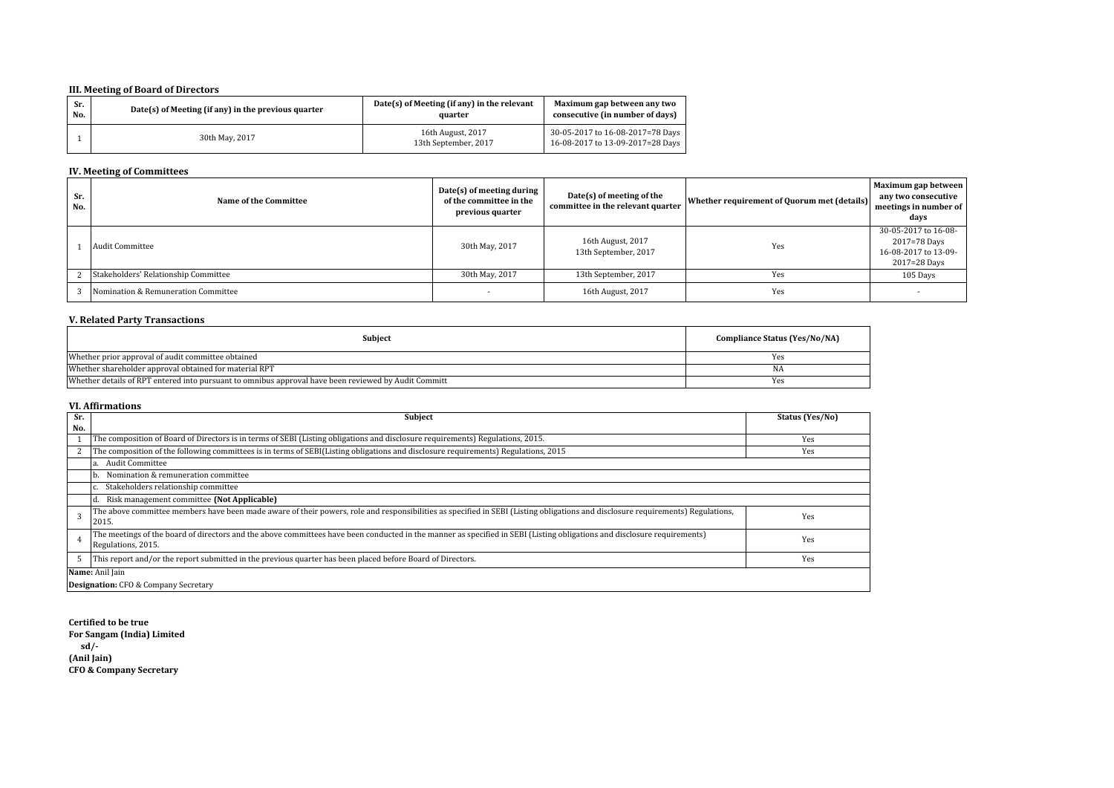# **III. Meeting of Board of Directors**

| Sr. | Date(s) of Meeting (if any) in the previous quarter | Date(s) of Meeting (if any) in the relevant | Maximum gap between any two                                          |
|-----|-----------------------------------------------------|---------------------------------------------|----------------------------------------------------------------------|
| No. |                                                     | quarter                                     | consecutive (in number of days)                                      |
|     | 30th May, 2017                                      | 16th August, 2017<br>13th September, 2017   | 30-05-2017 to 16-08-2017=78 Days<br>16-08-2017 to 13-09-2017=28 Days |

### **IV. Meeting of Committees**

| Sr.<br>No. | Name of the Committee                | Date(s) of meeting during<br>of the committee in the<br>previous quarter | Date(s) of meeting of the<br>committee in the relevant quarter | Whether requirement of Quorum met (details) | Maximum gap between<br>any two consecutive<br>meetings in number of<br>days  |
|------------|--------------------------------------|--------------------------------------------------------------------------|----------------------------------------------------------------|---------------------------------------------|------------------------------------------------------------------------------|
|            | Audit Committee                      | 30th May, 2017                                                           | 16th August, 2017<br>13th September, 2017                      | Yes                                         | 30-05-2017 to 16-08-<br>2017=78 Days<br>16-08-2017 to 13-09-<br>2017=28 Days |
|            | Stakeholders' Relationship Committee | 30th May, 2017                                                           | 13th September, 2017                                           | Yes                                         | 105 Days                                                                     |
|            | Nomination & Remuneration Committee  |                                                                          | 16th August, 2017                                              | Yes                                         |                                                                              |

## **V. Related Party Transactions**

| Subject                                                                                              | Compliance Status (Yes/No/NA) |
|------------------------------------------------------------------------------------------------------|-------------------------------|
| Whether prior approval of audit committee obtained                                                   | <b>Yes</b>                    |
| Whether shareholder approval obtained for material RPT                                               | NA                            |
| Whether details of RPT entered into pursuant to omnibus approval have been reviewed by Audit Committ | Yes                           |

#### **VI. Affirmations**

| Sr. | Subject                                                                                                                                                                                         | Status (Yes/No) |
|-----|-------------------------------------------------------------------------------------------------------------------------------------------------------------------------------------------------|-----------------|
| No. |                                                                                                                                                                                                 |                 |
|     | The composition of Board of Directors is in terms of SEBI (Listing obligations and disclosure requirements) Regulations, 2015.                                                                  | Yes             |
|     | The composition of the following committees is in terms of SEBI(Listing obligations and disclosure requirements) Regulations, 2015                                                              | Yes             |
|     | Audit Committee                                                                                                                                                                                 |                 |
|     | Nomination & remuneration committee                                                                                                                                                             |                 |
|     | Stakeholders relationship committee                                                                                                                                                             |                 |
|     | Risk management committee (Not Applicable)                                                                                                                                                      |                 |
|     | The above committee members have been made aware of their powers, role and responsibilities as specified in SEBI (Listing obligations and disclosure requirements) Regulations,<br>2015.        | Yes             |
|     | [The meetings of the board of directors and the above committees have been conducted in the manner as specified in SEBI (Listing obligations and disclosure requirements)<br>Regulations, 2015. | Yes             |
|     | This report and/or the report submitted in the previous quarter has been placed before Board of Directors.                                                                                      | Yes             |
|     | Name: Anil Jain                                                                                                                                                                                 |                 |
|     | <b>Designation:</b> CFO & Company Secretary                                                                                                                                                     |                 |

#### **Certified to be true**

**For Sangam (India) Limited sd/-**

**(Anil Jain) CFO & Company Secretary**